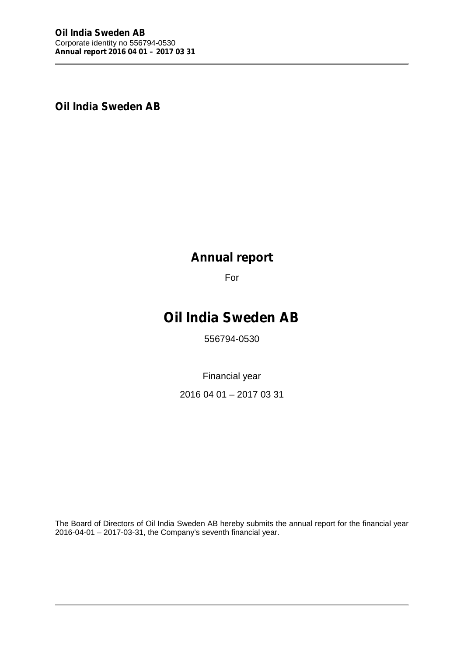**Oil India Sweden AB**

# **Annual report**

For

# **Oil India Sweden AB**

556794-0530

Financial year

2016 04 01 – 2017 03 31

The Board of Directors of Oil India Sweden AB hereby submits the annual report for the financial year 2016-04-01 – 2017-03-31, the Company's seventh financial year.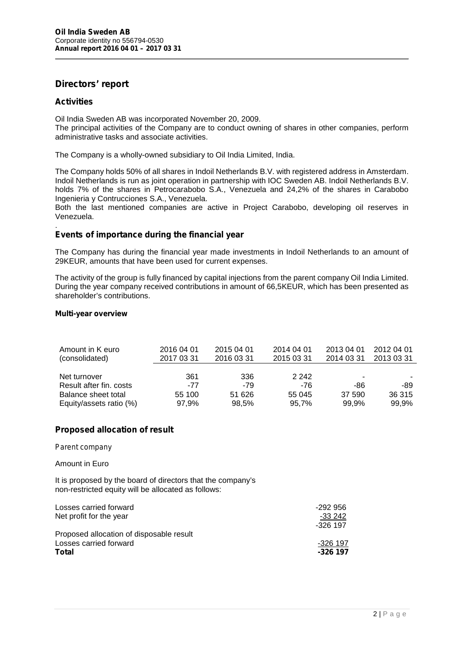# **Directors' report**

# **Activities**

Oil India Sweden AB was incorporated November 20, 2009.

The principal activities of the Company are to conduct owning of shares in other companies, perform administrative tasks and associate activities.

The Company is a wholly-owned subsidiary to Oil India Limited, India.

The Company holds 50% of all shares in Indoil Netherlands B.V. with registered address in Amsterdam. Indoil Netherlands is run as joint operation in partnership with IOC Sweden AB. Indoil Netherlands B.V. holds 7% of the shares in Petrocarabobo S.A., Venezuela and 24,2% of the shares in Carabobo Ingenieria y Contrucciones S.A., Venezuela.

Both the last mentioned companies are active in Project Carabobo, developing oil reserves in Venezuela.

#### .**Events of importance during the financial year**

The Company has during the financial year made investments in Indoil Netherlands to an amount of 29KEUR, amounts that have been used for current expenses.

The activity of the group is fully financed by capital injections from the parent company Oil India Limited. During the year company received contributions in amount of 66,5KEUR, which has been presented as shareholder's contributions.

#### **Multi-year overview**

| Amount in K euro<br>(consolidated) | 2016 04 01<br>2017 03 31 | 2015 04 01<br>2016 03 31 | 2014 04 01<br>2015 03 31 | 2013 04 01<br>2014 03 31 | 2012 04 01<br>2013 03 31 |
|------------------------------------|--------------------------|--------------------------|--------------------------|--------------------------|--------------------------|
| Net turnover                       | 361                      | 336                      | 2 2 4 2                  | $\overline{\phantom{a}}$ | ۰.                       |
| Result after fin. costs            | -77                      | -79                      | -76                      | -86                      | -89                      |
| Balance sheet total                | 55 100                   | 51 626                   | 55 045                   | 37 590                   | 36 315                   |
| Equity/assets ratio (%)            | 97,9%                    | 98,5%                    | 95,7%                    | 99,9%                    | 99.9%                    |

# **Proposed allocation of result**

#### *Parent company*

### Amount in Euro

It is proposed by the board of directors that the company's non-restricted equity will be allocated as follows:

| Losses carried forward                   | -292 956 |
|------------------------------------------|----------|
| Net profit for the year                  | $-33242$ |
|                                          | -326 197 |
| Proposed allocation of disposable result |          |
| Losses carried forward                   | -326 197 |
| Total                                    | -326 197 |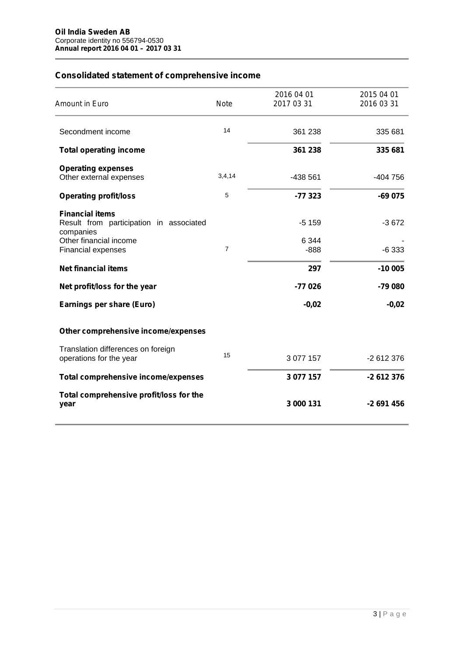# **Consolidated statement of comprehensive income**

| Amount in Euro                                                                 | <b>Note</b>    | 2016 04 01<br>20170331 | 2015 04 01<br>2016 03 31 |
|--------------------------------------------------------------------------------|----------------|------------------------|--------------------------|
| Secondment income                                                              | 14             | 361 238                | 335 681                  |
| <b>Total operating income</b>                                                  |                | 361 238                | 335 681                  |
| <b>Operating expenses</b><br>Other external expenses                           | 3,4,14         | -438 561               | $-404756$                |
| <b>Operating profit/loss</b>                                                   | 5              | $-77323$               | $-69075$                 |
| <b>Financial items</b><br>Result from participation in associated<br>companies |                | $-5159$                | $-3672$                  |
| Other financial income<br><b>Financial expenses</b>                            | $\overline{7}$ | 6 3 4 4<br>$-888$      | $-6333$                  |
| <b>Net financial items</b>                                                     |                | 297                    | $-10005$                 |
| Net profit/loss for the year                                                   |                | $-77026$               | $-79080$                 |
| Earnings per share (Euro)                                                      |                | $-0,02$                | $-0,02$                  |
| Other comprehensive income/expenses                                            |                |                        |                          |
| Translation differences on foreign<br>operations for the year                  | 15             | 3 077 157              | -2 612 376               |
| Total comprehensive income/expenses                                            |                | 3 077 157              | -2 612 376               |
| Total comprehensive profit/loss for the<br>year                                |                | 3 000 131              | $-2691456$               |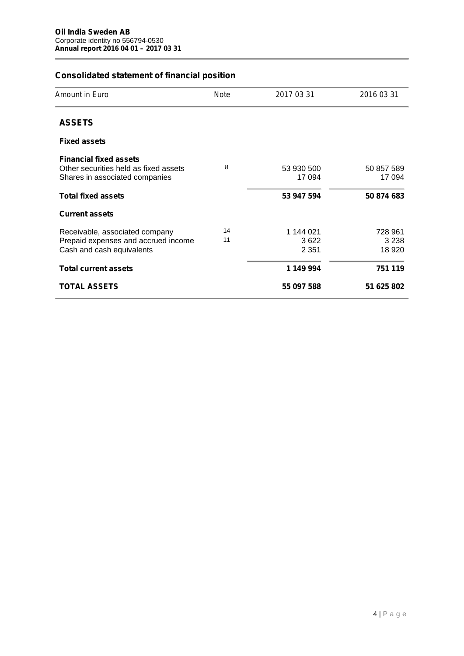# **Consolidated statement of financial position**

| Amount in Euro                                                                                           | Note     | 20170331                     | 2016 03 31                    |
|----------------------------------------------------------------------------------------------------------|----------|------------------------------|-------------------------------|
| <b>ASSETS</b>                                                                                            |          |                              |                               |
| <b>Fixed assets</b>                                                                                      |          |                              |                               |
| <b>Financial fixed assets</b><br>Other securities held as fixed assets<br>Shares in associated companies | 8        | 53 930 500<br>17 094         | 50 857 589<br>17 094          |
| <b>Total fixed assets</b>                                                                                |          | 53 947 594                   | 50 874 683                    |
| <b>Current assets</b>                                                                                    |          |                              |                               |
| Receivable, associated company<br>Prepaid expenses and accrued income<br>Cash and cash equivalents       | 14<br>11 | 1 144 021<br>3622<br>2 3 5 1 | 728 961<br>3 2 3 8<br>18 9 20 |
| <b>Total current assets</b>                                                                              |          | 1 149 994                    | 751 119                       |
| <b>TOTAL ASSETS</b>                                                                                      |          | 55 097 588                   | 51 625 802                    |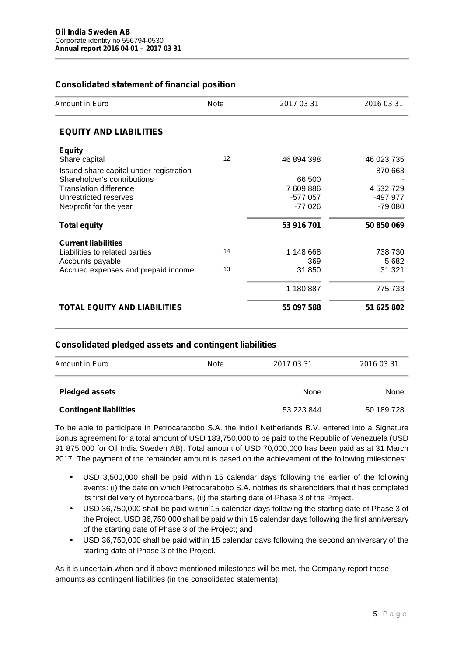# **Consolidated statement of financial position**

| Amount in Euro                          | <b>Note</b> | 2017 03 31 | 2016 03 31 |
|-----------------------------------------|-------------|------------|------------|
| <b>EQUITY AND LIABILITIES</b>           |             |            |            |
| <b>Equity</b>                           |             |            |            |
| Share capital                           | 12          | 46 894 398 | 46 023 735 |
| Issued share capital under registration |             |            | 870 663    |
| Shareholder's contributions             |             | 66 500     |            |
| Translation difference                  |             | 7 609 886  | 4 532 729  |
| Unrestricted reserves                   |             | -577 057   | -497 977   |
| Net/profit for the year                 |             | $-77026$   | -79 080    |
| <b>Total equity</b>                     |             | 53 916 701 | 50 850 069 |
| <b>Current liabilities</b>              |             |            |            |
| Liabilities to related parties          | 14          | 1 148 668  | 738 730    |
| Accounts payable                        |             | 369        | 5682       |
| Accrued expenses and prepaid income     | 13          | 31 850     | 31 321     |
|                                         |             | 1 180 887  | 775 733    |
| <b>TOTAL EQUITY AND LIABILITIES</b>     |             | 55 097 588 | 51 625 802 |

### **Consolidated pledged assets and contingent liabilities**

| <b>Amount in Euro</b>         | Note | 2017 03 31 | 2016 03 31 |  |
|-------------------------------|------|------------|------------|--|
| <b>Pledged assets</b>         |      | None       | None       |  |
| <b>Contingent liabilities</b> |      | 53 223 844 | 50 189 728 |  |

To be able to participate in Petrocarabobo S.A. the Indoil Netherlands B.V. entered into a Signature Bonus agreement for a total amount of USD 183,750,000 to be paid to the Republic of Venezuela (USD 91 875 000 for Oil India Sweden AB). Total amount of USD 70,000,000 has been paid as at 31 March 2017. The payment of the remainder amount is based on the achievement of the following milestones:

- USD 3,500,000 shall be paid within 15 calendar days following the earlier of the following events: (i) the date on which Petrocarabobo S.A. notifies its shareholders that it has completed its first delivery of hydrocarbans, (ii) the starting date of Phase 3 of the Project.
- USD 36,750,000 shall be paid within 15 calendar days following the starting date of Phase 3 of the Project. USD 36,750,000 shall be paid within 15 calendar days following the first anniversary of the starting date of Phase 3 of the Project; and
- USD 36,750,000 shall be paid within 15 calendar days following the second anniversary of the starting date of Phase 3 of the Project.

As it is uncertain when and if above mentioned milestones will be met, the Company report these amounts as contingent liabilities (in the consolidated statements).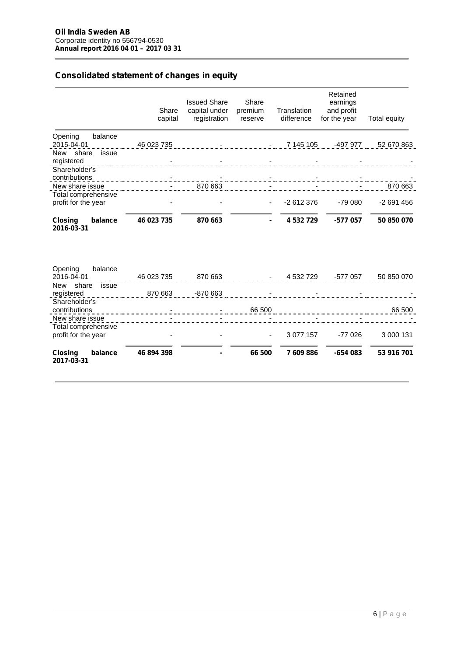# **Consolidated statement of changes in equity**

|                                                               | Share<br>capital | <b>Issued Share</b><br>capital under<br>registration | Share<br>premium<br>reserve | Translation<br>difference | Retained<br>earnings<br>and profit<br>for the year | Total equity |
|---------------------------------------------------------------|------------------|------------------------------------------------------|-----------------------------|---------------------------|----------------------------------------------------|--------------|
| balance<br>Opening<br>2015-04-01                              | 46 023 735       |                                                      | $\overline{\phantom{a}}$    | 7 145 105                 | -497 977                                           | 52 670 863   |
| New share issue<br>registered                                 |                  |                                                      |                             |                           |                                                    |              |
| Shareholder's<br>contributions                                |                  |                                                      |                             |                           |                                                    |              |
| New share issue                                               |                  | 870 663                                              |                             |                           |                                                    | 870 663      |
| Total comprehensive<br>profit for the year                    |                  |                                                      | $\blacksquare$              | -2 612 376                | $-7900$                                            | $-2691456$   |
| balance<br><b>Closing</b><br>2016-03-31                       | 46 023 735       | 870 663                                              | $\blacksquare$              | 4532729                   | -577 057                                           | 50 850 070   |
| balance<br>Opening<br>2016-04-01<br>New share<br>issue        | 46 023 735       | 870 663                                              | $\sim 100$                  | 4 532 729                 | -577 057                                           | 50 850 070   |
| registered                                                    | 870 663          | $-870663$                                            |                             |                           |                                                    |              |
| Shareholder's<br>contributions                                |                  |                                                      | 66 500                      |                           |                                                    | 66 500       |
| New share issue<br>Total comprehensive<br>profit for the year |                  |                                                      |                             | 3 0 7 7 1 5 7             | $-77026$                                           | 3 000 131    |
| <b>Closing</b><br>balance<br>2017-03-31                       | 46 894 398       |                                                      | 66 500                      | 7609886                   | $-654083$                                          | 53 916 701   |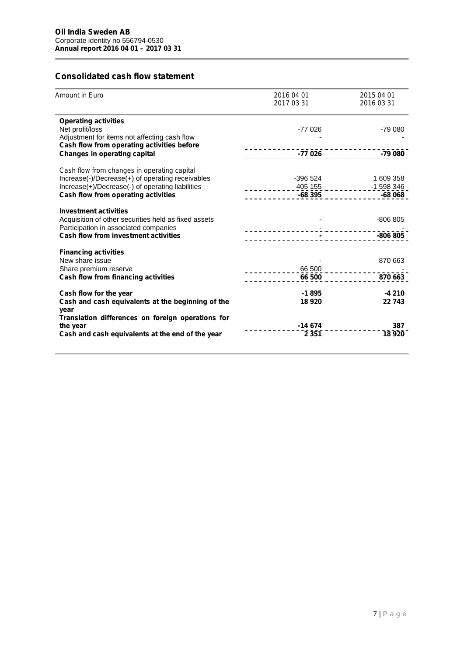# **Consolidated cash flow statement**

| Amount in Euro                                       | 2016 04 01<br>20170331          | 2015 04 01<br>2016 03 31                                                        |
|------------------------------------------------------|---------------------------------|---------------------------------------------------------------------------------|
| <b>Operating activities</b>                          |                                 |                                                                                 |
| Net profit/loss                                      | $-77026$                        | $-7900$                                                                         |
| Adjustment for items not affecting cash flow         |                                 |                                                                                 |
| Cash flow from operating activities before           |                                 |                                                                                 |
| <b>Changes in operating capital</b>                  |                                 |                                                                                 |
| Cash flow from changes in operating capital          |                                 |                                                                                 |
| Increase(-)/Decrease(+) of operating receivables     | -396 524                        | 1 609 358                                                                       |
| Increase(+)/Decrease(-) of operating liabilities     |                                 | 405 155<br><b>-68 395</b> - - - - - - - - - - - - - - 598 346<br><b>-68 068</b> |
| Cash flow from operating activities                  |                                 |                                                                                 |
| <b>Investment activities</b>                         |                                 |                                                                                 |
| Acquisition of other securities held as fixed assets |                                 | $-806805$                                                                       |
| Participation in associated companies                |                                 |                                                                                 |
| <b>Cash flow from investment activities</b>          |                                 | $-806805$                                                                       |
| <b>Financing activities</b>                          |                                 |                                                                                 |
| New share issue                                      |                                 | 870 663                                                                         |
| Share premium reserve                                | ____________66 500 ____________ |                                                                                 |
| Cash flow from financing activities                  | 66 500                          | 870 663                                                                         |
| Cash flow for the year                               | $-1895$                         | $-4210$                                                                         |
| Cash and cash equivalents at the beginning of the    | 18 9 20                         | 22743                                                                           |
| year                                                 |                                 |                                                                                 |
| Translation differences on foreign operations for    |                                 |                                                                                 |
| the year                                             | $-14674$                        | 387                                                                             |
| Cash and cash equivalents at the end of the year     | 2 3 5 1                         | 18920                                                                           |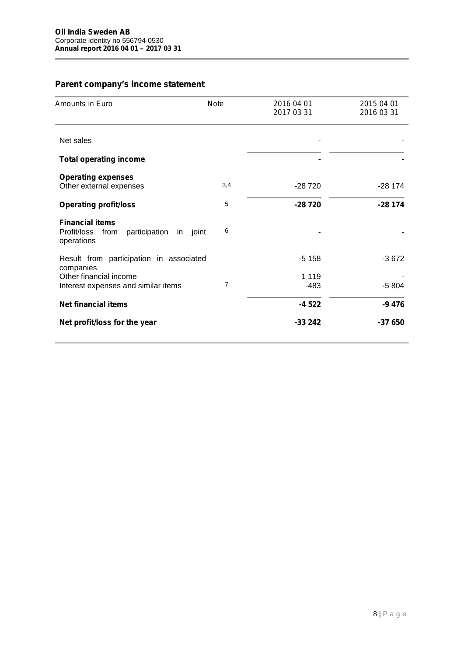# **Parent company's income statement**

| Amounts in Euro                                                                       | <b>Note</b> | 2016 04 01<br>2017 03 31 | 2015 04 01<br>2016 03 31 |
|---------------------------------------------------------------------------------------|-------------|--------------------------|--------------------------|
| Net sales                                                                             |             |                          |                          |
| <b>Total operating income</b>                                                         |             |                          |                          |
| <b>Operating expenses</b><br>Other external expenses                                  | 3,4         | $-28720$                 | $-28174$                 |
| <b>Operating profit/loss</b>                                                          | 5           | $-28720$                 | $-28174$                 |
| <b>Financial items</b><br>Profit/loss from<br>participation<br>in joint<br>operations | 6           |                          |                          |
| Result from participation in associated<br>companies                                  |             | $-5158$                  | $-3672$                  |
| Other financial income                                                                | 7           | 1 1 1 9                  |                          |
| Interest expenses and similar items                                                   |             | $-483$                   | $-5804$                  |
| <b>Net financial items</b>                                                            |             | $-4522$                  | $-9476$                  |
| Net profit/loss for the year                                                          |             | $-33242$                 | $-37650$                 |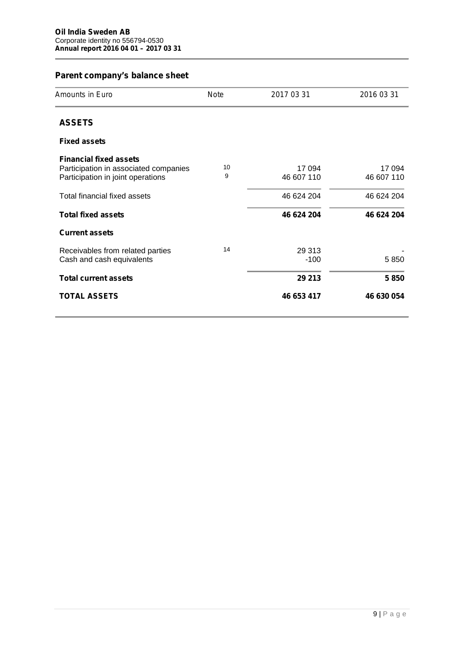×.

| Parent company's balance sheet |  |
|--------------------------------|--|
|--------------------------------|--|

| Amounts in Euro                                                        | Note | 2017 03 31 | 2016 03 31 |
|------------------------------------------------------------------------|------|------------|------------|
| <b>ASSETS</b>                                                          |      |            |            |
| <b>Fixed assets</b>                                                    |      |            |            |
| <b>Financial fixed assets</b><br>Participation in associated companies | 10   | 17 094     | 17 094     |
| Participation in joint operations                                      | 9    | 46 607 110 | 46 607 110 |
| Total financial fixed assets                                           |      | 46 624 204 | 46 624 204 |
| <b>Total fixed assets</b>                                              |      | 46 624 204 | 46 624 204 |
| <b>Current assets</b>                                                  |      |            |            |
| Receivables from related parties                                       | 14   | 29 313     |            |
| Cash and cash equivalents                                              |      | $-100$     | 5850       |
| <b>Total current assets</b>                                            |      | 29 213     | 5850       |
| <b>TOTAL ASSETS</b>                                                    |      | 46 653 417 | 46 630 054 |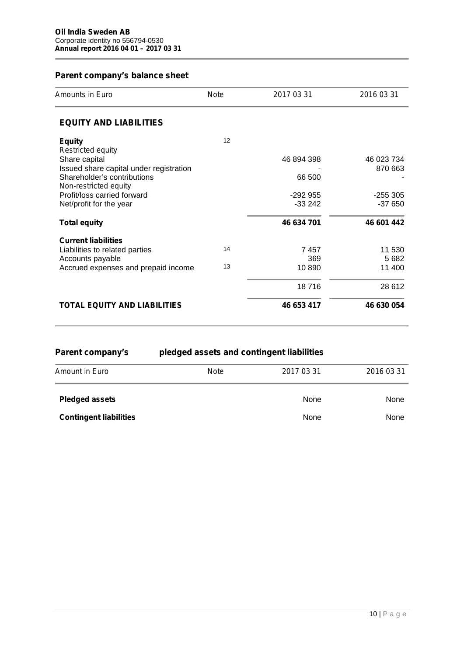# **Parent company's balance sheet**

| <b>Amounts in Euro</b>                  | Note | 2017 03 31 | 2016 03 31 |
|-----------------------------------------|------|------------|------------|
| <b>EQUITY AND LIABILITIES</b>           |      |            |            |
| <b>Equity</b>                           | 12   |            |            |
| Restricted equity                       |      |            |            |
| Share capital                           |      | 46 894 398 | 46 023 734 |
| Issued share capital under registration |      |            | 870 663    |
| Shareholder's contributions             |      | 66 500     |            |
| Non-restricted equity                   |      |            |            |
| Profit/loss carried forward             |      | $-292955$  | $-255305$  |
| Net/profit for the year                 |      | $-33242$   | $-37650$   |
| <b>Total equity</b>                     |      | 46 634 701 | 46 601 442 |
| <b>Current liabilities</b>              |      |            |            |
| Liabilities to related parties          | 14   | 7457       | 11 530     |
| Accounts payable                        |      | 369        | 5682       |
| Accrued expenses and prepaid income     | 13   | 10890      | 11 400     |
|                                         |      | 18716      | 28 6 12    |
| <b>TOTAL EQUITY AND LIABILITIES</b>     |      | 46 653 417 | 46 630 054 |

| Parent company's              | pledged assets and contingent liabilities |            |            |  |  |  |
|-------------------------------|-------------------------------------------|------------|------------|--|--|--|
| <b>Amount in Euro</b>         | Note                                      | 2017 03 31 | 2016 03 31 |  |  |  |
| <b>Pledged assets</b>         |                                           | None       | None       |  |  |  |
| <b>Contingent liabilities</b> |                                           | None       | None       |  |  |  |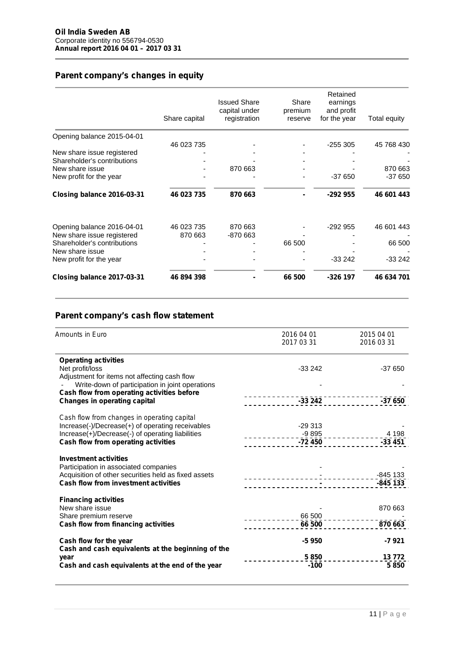# **Parent company's changes in equity**

|                             | Share capital | <b>Issued Share</b><br>capital under<br>registration | Share<br>premium<br>reserve | Retained<br>earnings<br>and profit<br>for the year | Total equity |
|-----------------------------|---------------|------------------------------------------------------|-----------------------------|----------------------------------------------------|--------------|
| Opening balance 2015-04-01  |               |                                                      |                             |                                                    |              |
|                             | 46 023 735    |                                                      |                             | $-255305$                                          | 45 768 430   |
| New share issue registered  |               |                                                      |                             |                                                    |              |
| Shareholder's contributions |               |                                                      |                             |                                                    |              |
| New share issue             |               | 870 663                                              |                             |                                                    | 870 663      |
| New profit for the year     |               |                                                      |                             | $-37650$                                           | $-37650$     |
| Closing balance 2016-03-31  | 46 023 735    | 870 663                                              |                             | $-292955$                                          | 46 601 443   |
| Opening balance 2016-04-01  | 46 023 735    | 870 663                                              |                             | $-292955$                                          | 46 601 443   |
| New share issue registered  | 870 663       | -870 663                                             |                             |                                                    |              |
| Shareholder's contributions |               |                                                      | 66 500                      |                                                    | 66 500       |
| New share issue             |               |                                                      |                             |                                                    |              |
| New profit for the year     |               |                                                      |                             | $-33242$                                           | $-33242$     |
| Closing balance 2017-03-31  | 46 894 398    |                                                      | 66 500                      | $-326$ 197                                         | 46 634 701   |

# **Parent company's cash flow statement**

| Amounts in Euro                                                                               | 2016 04 01<br>20170331 | 2015 04 01<br>2016 03 31 |
|-----------------------------------------------------------------------------------------------|------------------------|--------------------------|
|                                                                                               |                        |                          |
| <b>Operating activities</b>                                                                   |                        |                          |
| Net profit/loss                                                                               | $-33242$               | $-37650$                 |
| Adjustment for items not affecting cash flow                                                  |                        |                          |
| Write-down of participation in joint operations                                               |                        |                          |
| Cash flow from operating activities before<br><b>Changes in operating capital</b>             |                        |                          |
|                                                                                               |                        | -37 650                  |
| Cash flow from changes in operating capital                                                   |                        |                          |
| Increase(-)/Decrease(+) of operating receivables                                              | $-29.313$              |                          |
| Increase(+)/Decrease(-) of operating liabilities                                              | $-9895$                | 4 1 9 8                  |
| Cash flow from operating activities                                                           | -72 450                | $-33451$                 |
|                                                                                               |                        |                          |
| <b>Investment activities</b>                                                                  |                        |                          |
| Participation in associated companies<br>Acquisition of other securities held as fixed assets |                        |                          |
| <b>Cash flow from investment activities</b>                                                   |                        | $-845$ 133               |
|                                                                                               |                        |                          |
| <b>Financing activities</b>                                                                   |                        |                          |
| New share issue                                                                               |                        | 870 663                  |
| Share premium reserve                                                                         | 66 500                 |                          |
| Cash flow from financing activities                                                           | 66 500                 | 870 663                  |
|                                                                                               | -5 950                 | $-7921$                  |
| Cash flow for the year<br>Cash and cash equivalents at the beginning of the                   |                        |                          |
| year                                                                                          | 5850                   | 13772                    |
| Cash and cash equivalents at the end of the year                                              | $-100$                 | 5850                     |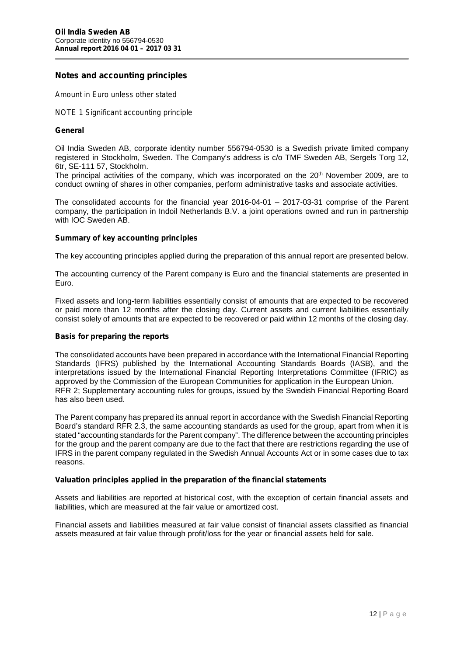### **Notes and accounting principles**

*Amount in Euro unless other stated*

*NOTE 1 Significant accounting principle*

#### **General**

Oil India Sweden AB, corporate identity number 556794-0530 is a Swedish private limited company registered in Stockholm, Sweden. The Company's address is c/o TMF Sweden AB, Sergels Torg 12, 6tr, SE-111 57, Stockholm.

The principal activities of the company, which was incorporated on the 20 th November 2009, are to conduct owning of shares in other companies, perform administrative tasks and associate activities.

The consolidated accounts for the financial year 2016-04-01 – 2017-03-31 comprise of the Parent company, the participation in Indoil Netherlands B.V. a joint operations owned and run in partnership with IOC Sweden AB.

#### **Summary of key accounting principles**

The key accounting principles applied during the preparation of this annual report are presented below.

The accounting currency of the Parent company is Euro and the financial statements are presented in Euro.

Fixed assets and long-term liabilities essentially consist of amounts that are expected to be recovered or paid more than 12 months after the closing day. Current assets and current liabilities essentially consist solely of amounts that are expected to be recovered or paid within 12 months of the closing day.

#### **Basis for preparing the reports**

The consolidated accounts have been prepared in accordance with the International Financial Reporting Standards (IFRS) published by the International Accounting Standards Boards (IASB), and the interpretations issued by the International Financial Reporting Interpretations Committee (IFRIC) as approved by the Commission of the European Communities for application in the European Union. RFR 2; Supplementary accounting rules for groups, issued by the Swedish Financial Reporting Board has also been used.

The Parent company has prepared its annual report in accordance with the Swedish Financial Reporting Board's standard RFR 2.3, the same accounting standards as used for the group, apart from when it is stated "accounting standards for the Parent company". The difference between the accounting principles for the group and the parent company are due to the fact that there are restrictions regarding the use of IFRS in the parent company regulated in the Swedish Annual Accounts Act or in some cases due to tax reasons.

#### **Valuation principles applied in the preparation of the financial statements**

Assets and liabilities are reported at historical cost, with the exception of certain financial assets and liabilities, which are measured at the fair value or amortized cost.

Financial assets and liabilities measured at fair value consist of financial assets classified as financial assets measured at fair value through profit/loss for the year or financial assets held for sale.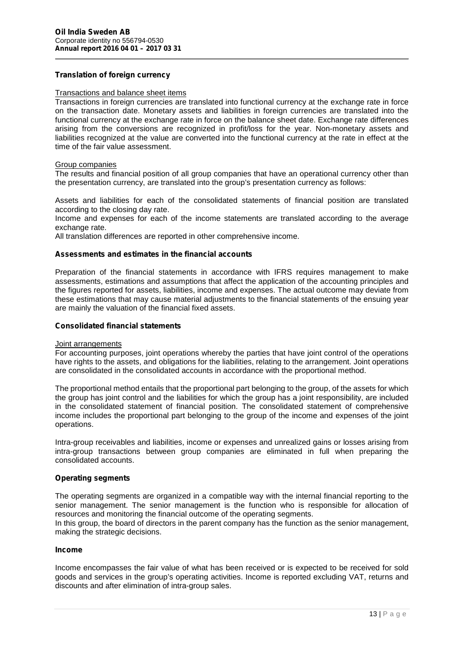### **Translation of foreign currency**

#### Transactions and balance sheet items

Transactions in foreign currencies are translated into functional currency at the exchange rate in force on the transaction date. Monetary assets and liabilities in foreign currencies are translated into the functional currency at the exchange rate in force on the balance sheet date. Exchange rate differences arising from the conversions are recognized in profit/loss for the year. Non-monetary assets and liabilities recognized at the value are converted into the functional currency at the rate in effect at the time of the fair value assessment.

#### Group companies

The results and financial position of all group companies that have an operational currency other than the presentation currency, are translated into the group's presentation currency as follows:

Assets and liabilities for each of the consolidated statements of financial position are translated according to the closing day rate.

Income and expenses for each of the income statements are translated according to the average exchange rate.

All translation differences are reported in other comprehensive income.

#### **Assessments and estimates in the financial accounts**

Preparation of the financial statements in accordance with IFRS requires management to make assessments, estimations and assumptions that affect the application of the accounting principles and the figures reported for assets, liabilities, income and expenses. The actual outcome may deviate from these estimations that may cause material adjustments to the financial statements of the ensuing year are mainly the valuation of the financial fixed assets.

#### **Consolidated financial statements**

#### Joint arrangements

For accounting purposes, joint operations whereby the parties that have joint control of the operations have rights to the assets, and obligations for the liabilities, relating to the arrangement. Joint operations are consolidated in the consolidated accounts in accordance with the proportional method.

The proportional method entails that the proportional part belonging to the group, of the assets for which the group has joint control and the liabilities for which the group has a joint responsibility, are included in the consolidated statement of financial position. The consolidated statement of comprehensive income includes the proportional part belonging to the group of the income and expenses of the joint operations.

Intra-group receivables and liabilities, income or expenses and unrealized gains or losses arising from intra-group transactions between group companies are eliminated in full when preparing the consolidated accounts.

#### **Operating segments**

The operating segments are organized in a compatible way with the internal financial reporting to the senior management. The senior management is the function who is responsible for allocation of resources and monitoring the financial outcome of the operating segments.

In this group, the board of directors in the parent company has the function as the senior management, making the strategic decisions.

### **Income**

returns and<br>13 | P a g e Income encompasses the fair value of what has been received or is expected to be received for sold goods and services in the group's operating activities. Income is reported excluding VAT, returns and discounts and after elimination of intra-group sales.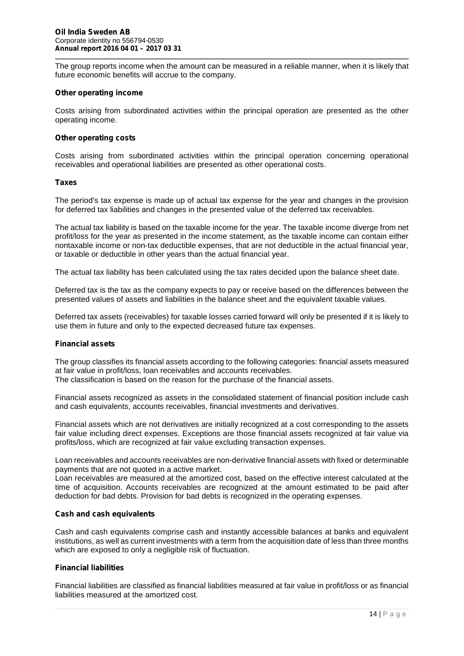The group reports income when the amount can be measured in a reliable manner, when it is likely that future economic benefits will accrue to the company.

#### **Other operating income**

Costs arising from subordinated activities within the principal operation are presented as the other operating income.

#### **Other operating costs**

Costs arising from subordinated activities within the principal operation concerning operational receivables and operational liabilities are presented as other operational costs.

#### **Taxes**

The period's tax expense is made up of actual tax expense for the year and changes in the provision for deferred tax liabilities and changes in the presented value of the deferred tax receivables.

The actual tax liability is based on the taxable income for the year. The taxable income diverge from net profit/loss for the year as presented in the income statement, as the taxable income can contain either nontaxable income or non-tax deductible expenses, that are not deductible in the actual financial year, or taxable or deductible in other years than the actual financial year.

The actual tax liability has been calculated using the tax rates decided upon the balance sheet date.

Deferred tax is the tax as the company expects to pay or receive based on the differences between the presented values of assets and liabilities in the balance sheet and the equivalent taxable values.

Deferred tax assets (receivables) for taxable losses carried forward will only be presented if it is likely to use them in future and only to the expected decreased future tax expenses.

#### **Financial assets**

The group classifies its financial assets according to the following categories: financial assets measured at fair value in profit/loss, loan receivables and accounts receivables.

The classification is based on the reason for the purchase of the financial assets.

Financial assets recognized as assets in the consolidated statement of financial position include cash and cash equivalents, accounts receivables, financial investments and derivatives.

Financial assets which are not derivatives are initially recognized at a cost corresponding to the assets fair value including direct expenses. Exceptions are those financial assets recognized at fair value via profits/loss, which are recognized at fair value excluding transaction expenses.

Loan receivables and accounts receivables are non-derivative financial assets with fixed or determinable payments that are not quoted in a active market.

Loan receivables are measured at the amortized cost, based on the effective interest calculated at the time of acquisition. Accounts receivables are recognized at the amount estimated to be paid after deduction for bad debts. Provision for bad debts is recognized in the operating expenses.

#### **Cash and cash equivalents**

Cash and cash equivalents comprise cash and instantly accessible balances at banks and equivalent institutions, as well as current investments with a term from the acquisition date of less than three months which are exposed to only a negligible risk of fluctuation.

#### **Financial liabilities**

as financial<br>14 | P a g e Financial liabilities are classified as financial liabilities measured at fair value in profit/loss or as financial liabilities measured at the amortized cost.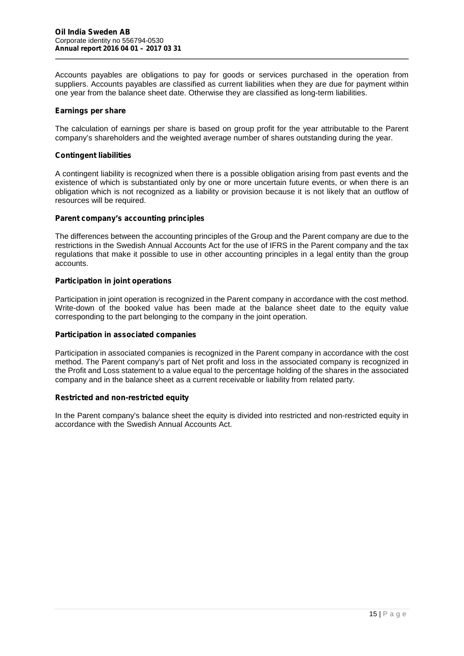Accounts payables are obligations to pay for goods or services purchased in the operation from suppliers. Accounts payables are classified as current liabilities when they are due for payment within one year from the balance sheet date. Otherwise they are classified as long-term liabilities.

#### **Earnings per share**

The calculation of earnings per share is based on group profit for the year attributable to the Parent company's shareholders and the weighted average number of shares outstanding during the year.

#### **Contingent liabilities**

A contingent liability is recognized when there is a possible obligation arising from past events and the existence of which is substantiated only by one or more uncertain future events, or when there is an obligation which is not recognized as a liability or provision because it is not likely that an outflow of resources will be required.

#### **Parent company's accounting principles**

The differences between the accounting principles of the Group and the Parent company are due to the restrictions in the Swedish Annual Accounts Act for the use of IFRS in the Parent company and the tax regulations that make it possible to use in other accounting principles in a legal entity than the group accounts.

#### **Participation in joint operations**

Participation in joint operation is recognized in the Parent company in accordance with the cost method. Write-down of the booked value has been made at the balance sheet date to the equity value corresponding to the part belonging to the company in the joint operation.

#### **Participation in associated companies**

Participation in associated companies is recognized in the Parent company in accordance with the cost method. The Parent company's part of Net profit and loss in the associated company is recognized in the Profit and Loss statement to a value equal to the percentage holding of the shares in the associated company and in the balance sheet as a current receivable or liability from related party.

#### **Restricted and non-restricted equity**

In the Parent company's balance sheet the equity is divided into restricted and non-restricted equity in accordance with the Swedish Annual Accounts Act.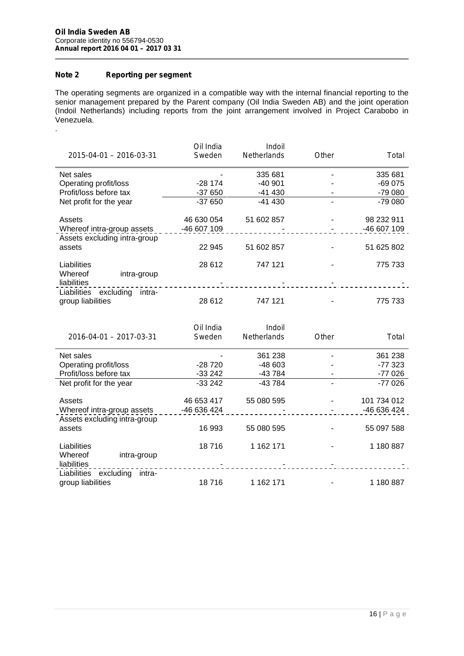# **Note 2 Reporting per segment**

.

The operating segments are organized in a compatible way with the internal financial reporting to the senior management prepared by the Parent company (Oil India Sweden AB) and the joint operation (Indoil Netherlands) including reports from the joint arrangement involved in Project Carabobo in Venezuela.

| 2015-04-01 - 2016-03-31                                 | Oil India<br>Sweden | Indoil<br>Netherlands | Other | Total       |
|---------------------------------------------------------|---------------------|-----------------------|-------|-------------|
| Net sales                                               |                     | 335 681               |       | 335 681     |
| Operating profit/loss                                   | -28 174             | $-40901$              |       | $-69075$    |
| Profit/loss before tax                                  | $-37650$            | -41 430               |       | $-79080$    |
| Net profit for the year                                 | $-37650$            | $-41430$              |       | $-79080$    |
| Assets                                                  | 46 630 054          | 51 602 857            |       | 98 232 911  |
| Whereof intra-group assets                              | -46 607 109         |                       |       | -46 607 109 |
| Assets excluding intra-group                            |                     |                       |       |             |
| assets                                                  | 22 945              | 51 602 857            |       | 51 625 802  |
| Liabilities<br>Whereof                                  | 28 612              | 747 121               |       | 775 733     |
| intra-group<br>liabilities                              |                     |                       |       |             |
| Liabilities<br>excluding<br>intra-<br>group liabilities | 28 612              | 747 121               |       | 775 733     |

| 2016-04-01 - 2017-03-31                                    | Oil India<br>Sweden | Indoil<br><b>Netherlands</b> | Other | Total       |
|------------------------------------------------------------|---------------------|------------------------------|-------|-------------|
| Net sales                                                  |                     | 361 238                      |       | 361 238     |
| Operating profit/loss                                      | $-28720$            | $-48603$                     |       | -77 323     |
| Profit/loss before tax                                     | $-33242$            | -43 784                      |       | $-77026$    |
| Net profit for the year                                    | $-33242$            | -43 784                      |       | $-77026$    |
| Assets                                                     | 46 653 417          | 55 080 595                   |       | 101 734 012 |
| Whereof intra-group assets<br>Assets excluding intra-group | -46 636 424         |                              |       | -46 636 424 |
| assets                                                     | 16 993              | 55 080 595                   |       | 55 097 588  |
| Liabilities                                                | 18716               | 1 162 171                    |       | 1 180 887   |
| Whereof<br>intra-group<br>liabilities                      |                     |                              |       |             |
| Liabilities excluding<br>intra-                            |                     |                              |       |             |
| group liabilities                                          | 18716               | 1 162 171                    |       | 1 180 887   |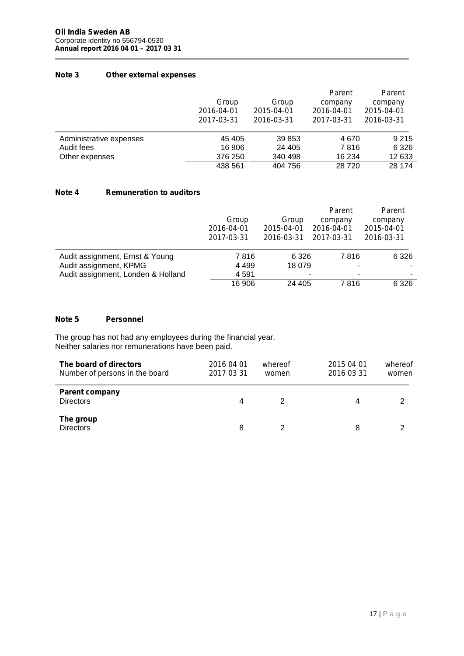# **Note 3 Other external expenses**

|                         | Group<br>2016-04-01<br>2017-03-31 | Group<br>2015-04-01<br>2016-03-31 | Parent<br>company<br>2016-04-01<br>2017-03-31 | Parent<br>company<br>2015-04-01<br>2016-03-31 |
|-------------------------|-----------------------------------|-----------------------------------|-----------------------------------------------|-----------------------------------------------|
| Administrative expenses | 45 405                            | 39 853                            | 4670                                          | 9 2 1 5                                       |
| Audit fees              | 16 906                            | 24 405                            | 7816                                          | 6 3 2 6                                       |
| Other expenses          | 376 250                           | 340 498                           | 16 234                                        | 12 633                                        |
|                         | 438 561                           | 404 756                           | 28720                                         | 28 174                                        |

# **Note 4 Remuneration to auditors**

|                                    | Group<br>2016-04-01<br>2017-03-31 | Group<br>2015-04-01<br>2016-03-31 | Parent<br>company<br>2016-04-01<br>2017-03-31 | Parent<br>company<br>2015-04-01<br>2016-03-31 |
|------------------------------------|-----------------------------------|-----------------------------------|-----------------------------------------------|-----------------------------------------------|
| Audit assignment, Ernst & Young    | 7816                              | 6 3 2 6                           | 7816                                          | 6 3 2 6                                       |
| Audit assignment, KPMG             | 4 4 9 9                           | 18 079                            | ۰                                             | ۰                                             |
| Audit assignment, Londen & Holland | 4 5 9 1                           |                                   | ۰<br>۰                                        | ۰                                             |
|                                    | 16 906                            | 24 405                            | 7816                                          | 6 3 2 6                                       |

# **Note 5 Personnel**

The group has not had any employees during the financial year. Neither salaries nor remunerations have been paid.

| The board of directors<br>Number of persons in the board | 2016 04 01<br>2017 03 31 | whereof<br>women | 2015 04 01<br>2016 03 31 | whereof<br>women |
|----------------------------------------------------------|--------------------------|------------------|--------------------------|------------------|
| <b>Parent company</b><br><b>Directors</b>                | 4                        | 2                | 4                        |                  |
| The group<br><b>Directors</b>                            | 8                        |                  | 8                        |                  |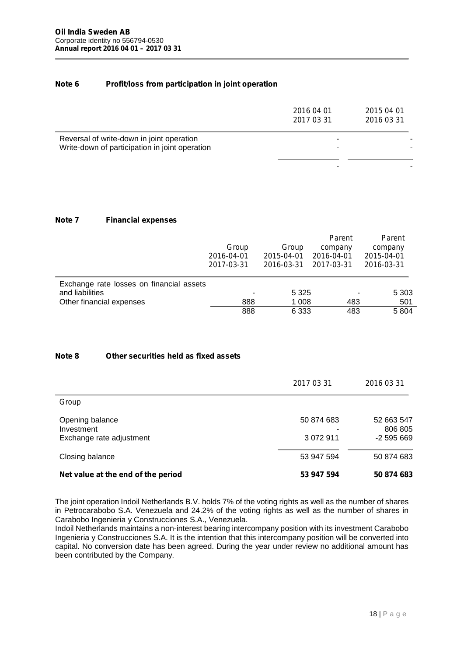#### **Note 6 Profit/loss from participation in joint operation**

| 2016 04 01<br>2017 03 31 | 2015 04 01<br>2016 03 31 |
|--------------------------|--------------------------|
| -<br>-                   |                          |
| -                        |                          |
|                          |                          |

# **Note 7 Financial expenses**

|                                                             | Group<br>2016-04-01<br>2017-03-31 | Group<br>2015-04-01<br>2016-03-31 | Parent<br>company<br>2016-04-01<br>2017-03-31 | Parent<br>company<br>2015-04-01<br>2016-03-31 |
|-------------------------------------------------------------|-----------------------------------|-----------------------------------|-----------------------------------------------|-----------------------------------------------|
| Exchange rate losses on financial assets<br>and liabilities |                                   | 5 3 2 5                           | ٠                                             | 5 3 0 3                                       |
| Other financial expenses                                    | 888                               | 1 008                             | 483                                           | 501                                           |
|                                                             | 888                               | 6 3 3 3                           | 483                                           | 5 8 0 4                                       |

# **Note 8 Other securities held as fixed assets**

|                                    | 2017 03 31      | 2016 03 31            |
|------------------------------------|-----------------|-----------------------|
| Group                              |                 |                       |
| Opening balance<br>Investment      | 50 874 683<br>- | 52 663 547<br>806 805 |
| Exchange rate adjustment           | 3 0 7 2 9 1 1   | $-2595669$            |
| Closing balance                    | 53 947 594      | 50 874 683            |
| Net value at the end of the period | 53 947 594      | 50 874 683            |

The joint operation Indoil Netherlands B.V. holds 7% of the voting rights as well as the number of shares in Petrocarabobo S.A. Venezuela and 24.2% of the voting rights as well as the number of shares in Carabobo Ingenieria y Construcciones S.A., Venezuela.

Indoil Netherlands maintains a non-interest bearing intercompany position with its investment Carabobo Ingenieria y Construcciones S.A. It is the intention that this intercompany position will be converted into capital. No conversion date has been agreed. During the year under review no additional amount has been contributed by the Company.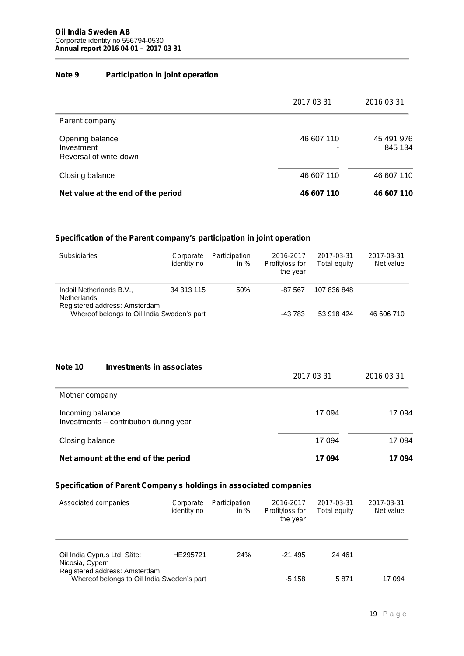# **Note 9 Participation in joint operation**

|                                                         | 2017 03 31           | 2016 03 31                 |
|---------------------------------------------------------|----------------------|----------------------------|
| Parent company                                          |                      |                            |
| Opening balance<br>Investment<br>Reversal of write-down | 46 607 110<br>۰<br>۰ | 45 491 976<br>845 134<br>۰ |
| Closing balance                                         | 46 607 110           | 46 607 110                 |
| Net value at the end of the period                      | 46 607 110           | 46 607 110                 |

# **Specification of the Parent company's participation in joint operation**

| <b>Subsidiaries</b>                                                             | Corporate<br><i>identity no</i> | Participation<br>in $%$ | 2016-2017<br>Profit/loss for<br>the year | 2017-03-31<br>Total equity | 2017-03-31<br>Net value |
|---------------------------------------------------------------------------------|---------------------------------|-------------------------|------------------------------------------|----------------------------|-------------------------|
| Indoil Netherlands B.V.,<br><b>Netherlands</b><br>Registered address: Amsterdam | 34 313 115                      | 50%                     | $-87.567$                                | 107 836 848                |                         |
| Whereof belongs to Oil India Sweden's part                                      |                                 |                         | -43 783                                  | 53 918 424                 | 46 606 710              |

| Note 10          | Investments in associates              |             |             |
|------------------|----------------------------------------|-------------|-------------|
|                  |                                        | 2017 03 31  | 2016 03 31  |
| Mother company   |                                        |             |             |
| Incoming balance | Investments - contribution during year | 17 094<br>۰ | 17 094<br>- |
| Closing balance  |                                        | 17 094      | 17 094      |
|                  | Net amount at the end of the period    | 17094       | 17094       |

# **Specification of Parent Company's holdings in associated companies**

| Associated companies                                                        | Corporate<br><i>identity no</i> | Participation<br>in $%$ | 2016-2017<br>Profit/loss for<br>the year | 2017-03-31<br>Total equity | 2017-03-31<br>Net value |
|-----------------------------------------------------------------------------|---------------------------------|-------------------------|------------------------------------------|----------------------------|-------------------------|
| Oil India Cyprus Ltd, Säte:<br>Nicosia, Cypern                              | HE295721                        | 24%                     | $-21495$                                 | 24 4 61                    |                         |
| Registered address: Amsterdam<br>Whereof belongs to Oil India Sweden's part |                                 |                         | $-5158$                                  | 5871                       | 17 094                  |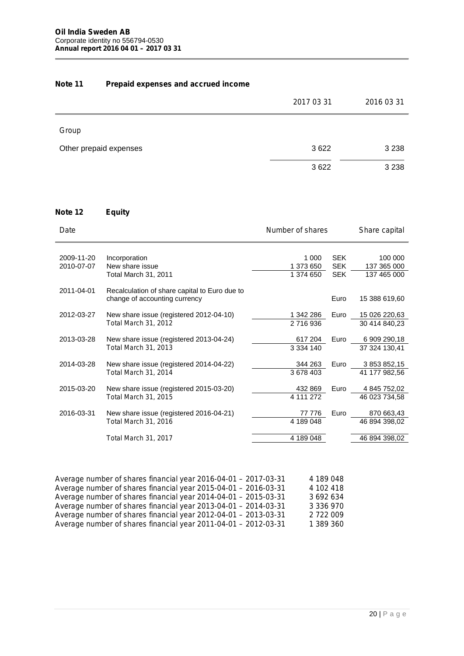# **Note 11 Prepaid expenses and accrued income**

|                        | 2017 03 31 | 2016 03 31 |
|------------------------|------------|------------|
| Group                  |            |            |
| Other prepaid expenses | 3622       | 3 2 3 8    |
|                        | 3622       | 3 2 3 8    |

# **Note 12 Equity**

| Date       |                                                                                | Number of shares       |                          | Share capital              |
|------------|--------------------------------------------------------------------------------|------------------------|--------------------------|----------------------------|
| 2009-11-20 | Incorporation                                                                  | 1 000                  | <b>SEK</b>               | 100 000                    |
| 2010-07-07 | New share issue<br>Total March 31, 2011                                        | 1 373 650<br>1 374 650 | <b>SEK</b><br><b>SEK</b> | 137 365 000<br>137 465 000 |
| 2011-04-01 | Recalculation of share capital to Euro due to<br>change of accounting currency |                        | Euro                     | 15 388 619,60              |
| 2012-03-27 | New share issue (registered 2012-04-10)                                        | 1 342 286              | Euro                     | 15 026 220,63              |
|            | Total March 31, 2012                                                           | 2 716 936              |                          | 30 414 840,23              |
| 2013-03-28 | New share issue (registered 2013-04-24)                                        | 617 204                | Euro                     | 6 909 290,18               |
|            | Total March 31, 2013                                                           | 3 3 3 4 1 4 0          |                          | 37 324 130,41              |
| 2014-03-28 | New share issue (registered 2014-04-22)                                        | 344 263                | Euro                     | 3 853 852,15               |
|            | Total March 31, 2014                                                           | 3 678 403              |                          | 41 177 982,56              |
| 2015-03-20 | New share issue (registered 2015-03-20)                                        | 432 869                | Euro                     | 4 845 752,02               |
|            | Total March 31, 2015                                                           | 4 111 272              |                          | 46 023 734,58              |
| 2016-03-31 | New share issue (registered 2016-04-21)                                        | 77 776                 | Euro                     | 870 663,43                 |
|            | Total March 31, 2016                                                           | 4 189 048              |                          | 46 894 398,02              |
|            | Total March 31, 2017                                                           | 4 189 048              |                          | 46 894 398,02              |

| Average number of shares financial year 2016-04-01 - 2017-03-31 | 4 189 048 |  |
|-----------------------------------------------------------------|-----------|--|
| Average number of shares financial year 2015-04-01 - 2016-03-31 | 4 102 418 |  |
| Average number of shares financial year 2014-04-01 - 2015-03-31 | 3 692 634 |  |
| Average number of shares financial year 2013-04-01 - 2014-03-31 | 3 336 970 |  |
| Average number of shares financial year 2012-04-01 - 2013-03-31 | 2 722 009 |  |
| Average number of shares financial year 2011-04-01 - 2012-03-31 | 1 389 360 |  |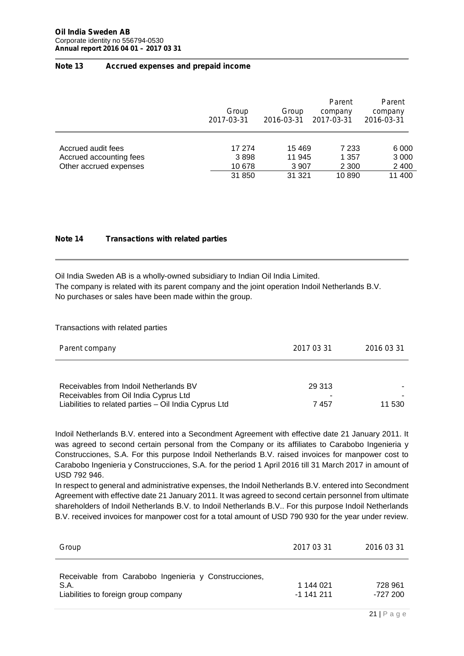#### **Note 13 Accrued expenses and prepaid income**

|                         | Group<br>2017-03-31 | Group<br>2016-03-31 | Parent<br>company<br>2017-03-31 | Parent<br>company<br>2016-03-31 |
|-------------------------|---------------------|---------------------|---------------------------------|---------------------------------|
| Accrued audit fees      | 17 274              | 15 4 69             | 7 2 3 3                         | 6 0 0 0                         |
| Accrued accounting fees | 3898                | 11 945              | 1 3 5 7                         | 3 0 0 0                         |
| Other accrued expenses  | 10 678              | 3 9 0 7             | 2 3 0 0                         | 2 4 0 0                         |
|                         | 31 850              | 31 321              | 10890                           | 11 400                          |

#### **Note 14 Transactions with related parties**

Oil India Sweden AB is a wholly-owned subsidiary to Indian Oil India Limited. The company is related with its parent company and the joint operation Indoil Netherlands B.V. No purchases or sales have been made within the group.

Transactions with related parties

| Parent company                                        | 2017 03 31 | 2016 03 31               |
|-------------------------------------------------------|------------|--------------------------|
|                                                       |            |                          |
| Receivables from Indoil Netherlands BV                | 29 313     | $\overline{\phantom{a}}$ |
| Receivables from Oil India Cyprus Ltd                 | ۰          | ۰                        |
| Liabilities to related parties - Oil India Cyprus Ltd | 7457       | 11 530                   |

Indoil Netherlands B.V. entered into a Secondment Agreement with effective date 21 January 2011. It was agreed to second certain personal from the Company or its affiliates to Carabobo Ingenieria y Construcciones, S.A. For this purpose Indoil Netherlands B.V. raised invoices for manpower cost to Carabobo Ingenieria y Construcciones, S.A. for the period 1 April 2016 till 31 March 2017 in amount of USD 792 946.

In respect to general and administrative expenses, the Indoil Netherlands B.V. entered into Secondment Agreement with effective date 21 January 2011. It was agreed to second certain personnel from ultimate shareholders of Indoil Netherlands B.V. to Indoil Netherlands B.V.. For this purpose Indoil Netherlands B.V. received invoices for manpower cost for a total amount of USD 790 930 for the year under review.

| Group                                                                                                 | 2017 03 31                | 2016 03 31          |
|-------------------------------------------------------------------------------------------------------|---------------------------|---------------------|
| Receivable from Carabobo Ingenieria y Construcciones,<br>S.A.<br>Liabilities to foreign group company | 1 144 021<br>$-1$ 141 211 | 728 961<br>-727 200 |
|                                                                                                       |                           | 21   $P$ a g e      |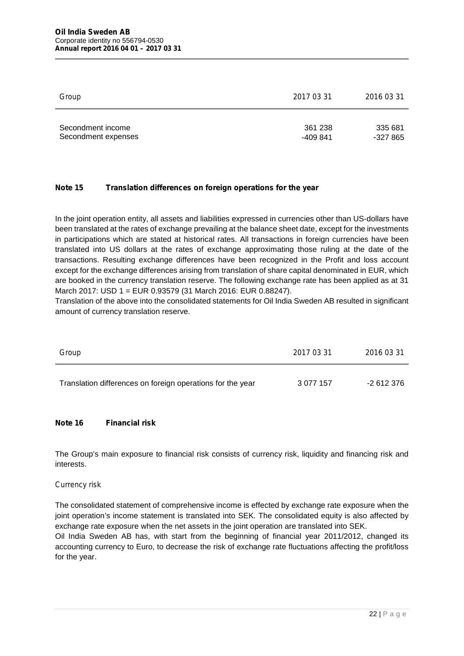| Group               | 2017 03 31 | 2016 03 31 |  |
|---------------------|------------|------------|--|
| Secondment income   | 361 238    | 335 681    |  |
| Secondment expenses | -409 841   | $-327865$  |  |

# **Note 15 Translation differences on foreign operations for the year**

In the joint operation entity, all assets and liabilities expressed in currencies other than US-dollars have been translated at the rates of exchange prevailing at the balance sheet date, except for the investments in participations which are stated at historical rates. All transactions in foreign currencies have been translated into US dollars at the rates of exchange approximating those ruling at the date of the transactions. Resulting exchange differences have been recognized in the Profit and loss account except for the exchange differences arising from translation of share capital denominated in EUR, which are booked in the currency translation reserve. The following exchange rate has been applied as at 31 March 2017: USD 1 = EUR 0.93579 (31 March 2016: EUR 0.88247).

Translation of the above into the consolidated statements for Oil India Sweden AB resulted in significant amount of currency translation reserve.

| Group                                                      | 2017 03 31    | 2016 03 31 |
|------------------------------------------------------------|---------------|------------|
| Translation differences on foreign operations for the year | 3 0 7 7 1 5 7 | -2 612 376 |

### **Note 16 Financial risk**

The Group's main exposure to financial risk consists of currency risk, liquidity and financing risk and interests.

#### *Currency risk*

The consolidated statement of comprehensive income is effected by exchange rate exposure when the joint operation's income statement is translated into SEK. The consolidated equity is also affected by exchange rate exposure when the net assets in the joint operation are translated into SEK.

Oil India Sweden AB has, with start from the beginning of financial year 2011/2012, changed its accounting currency to Euro, to decrease the risk of exchange rate fluctuations affecting the profit/loss for the year.